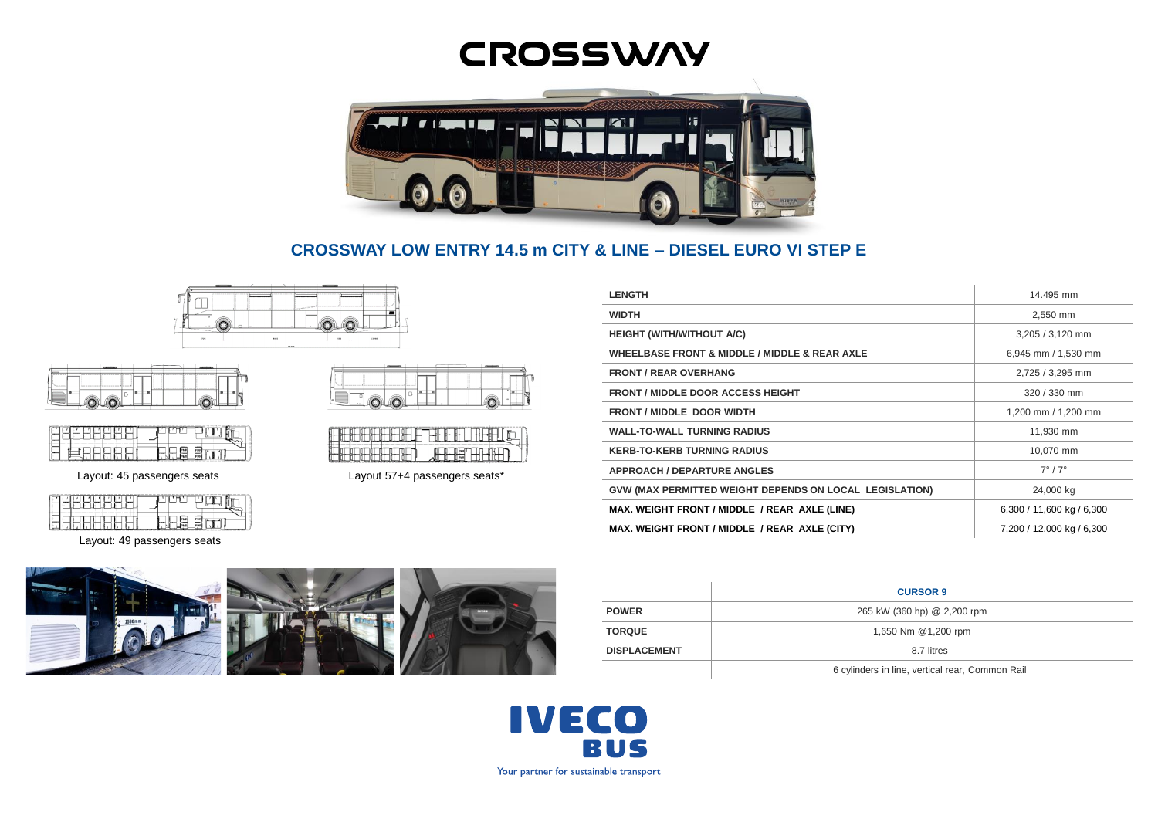# **CROSSWAY**



**CROSSWAY LOW ENTRY 14.5 m CITY & LINE – DIESEL EURO VI STEP E**





| -- | - |  |
|----|---|--|

Layout: 49 passengers seats





Layout: 45 passengers seats Layout 57+4 passengers seats\*

| <b>LENGTH</b>                                                  | 14.495 mm                 |
|----------------------------------------------------------------|---------------------------|
| <b>WIDTH</b>                                                   | 2,550 mm                  |
| <b>HEIGHT (WITH/WITHOUT A/C)</b>                               | 3,205 / 3,120 mm          |
| <b>WHEELBASE FRONT &amp; MIDDLE / MIDDLE &amp; REAR AXLE</b>   | 6,945 mm / 1,530 mm       |
| <b>FRONT / REAR OVERHANG</b>                                   | 2,725 / 3,295 mm          |
| <b>FRONT / MIDDLE DOOR ACCESS HEIGHT</b>                       | 320 / 330 mm              |
| <b>FRONT / MIDDLE DOOR WIDTH</b>                               | 1,200 mm / 1,200 mm       |
| <b>WALL-TO-WALL TURNING RADIUS</b>                             | 11,930 mm                 |
| <b>KERB-TO-KERB TURNING RADIUS</b>                             | 10,070 mm                 |
| <b>APPROACH / DEPARTURE ANGLES</b>                             | $7^\circ/7^\circ$         |
| <b>GVW (MAX PERMITTED WEIGHT DEPENDS ON LOCAL LEGISLATION)</b> | 24,000 kg                 |
| MAX. WEIGHT FRONT / MIDDLE / REAR AXLE (LINE)                  | 6,300 / 11,600 kg / 6,300 |
| MAX. WEIGHT FRONT / MIDDLE / REAR AXLE (CITY)                  | 7,200 / 12,000 kg / 6,300 |



|                     | <b>CURSOR 9</b>                                 |  |
|---------------------|-------------------------------------------------|--|
| <b>POWER</b>        | 265 kW (360 hp) @ 2,200 rpm                     |  |
| <b>TORQUE</b>       | 1,650 Nm @1,200 rpm                             |  |
| <b>DISPLACEMENT</b> | 8.7 litres                                      |  |
|                     | 6 cylinders in line, vertical rear, Common Rail |  |